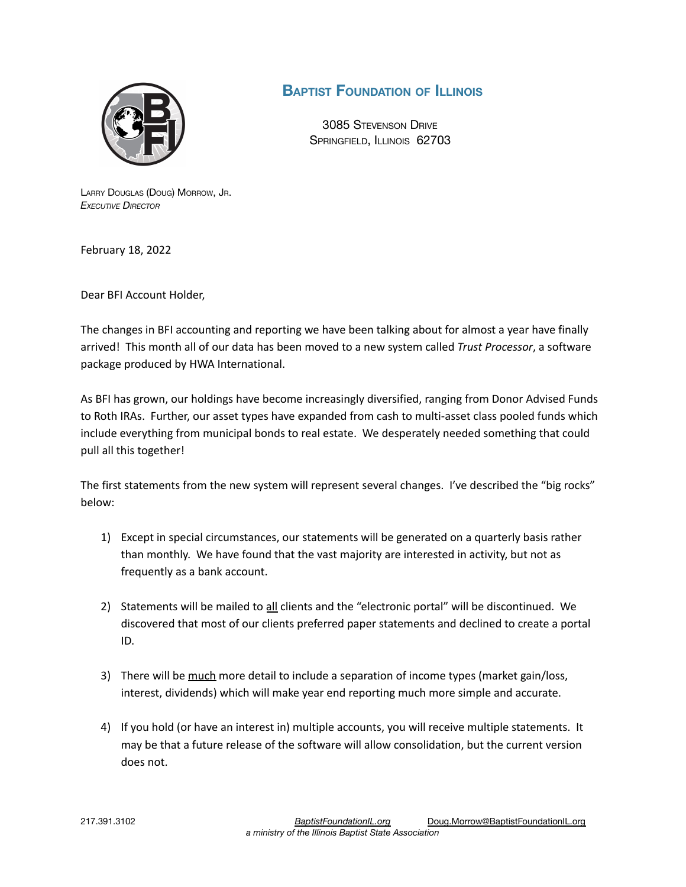

## **BAPTIST FOUNDATION OF ILLINOIS**

3085 STEVENSON DRIVE SPRINGFIELD, ILLINOIS 62703

LARRY DOUGLAS (DOUG) MORROW, JR. *EXECUTIVE DIRECTOR*

February 18, 2022

Dear BFI Account Holder,

The changes in BFI accounting and reporting we have been talking about for almost a year have finally arrived! This month all of our data has been moved to a new system called *Trust Processor*, a software package produced by HWA International.

As BFI has grown, our holdings have become increasingly diversified, ranging from Donor Advised Funds to Roth IRAs. Further, our asset types have expanded from cash to multi-asset class pooled funds which include everything from municipal bonds to real estate. We desperately needed something that could pull all this together!

The first statements from the new system will represent several changes. I've described the "big rocks" below:

- 1) Except in special circumstances, our statements will be generated on a quarterly basis rather than monthly. We have found that the vast majority are interested in activity, but not as frequently as a bank account.
- 2) Statements will be mailed to all clients and the "electronic portal" will be discontinued. We discovered that most of our clients preferred paper statements and declined to create a portal ID.
- 3) There will be much more detail to include a separation of income types (market gain/loss, interest, dividends) which will make year end reporting much more simple and accurate.
- 4) If you hold (or have an interest in) multiple accounts, you will receive multiple statements. It may be that a future release of the software will allow consolidation, but the current version does not.